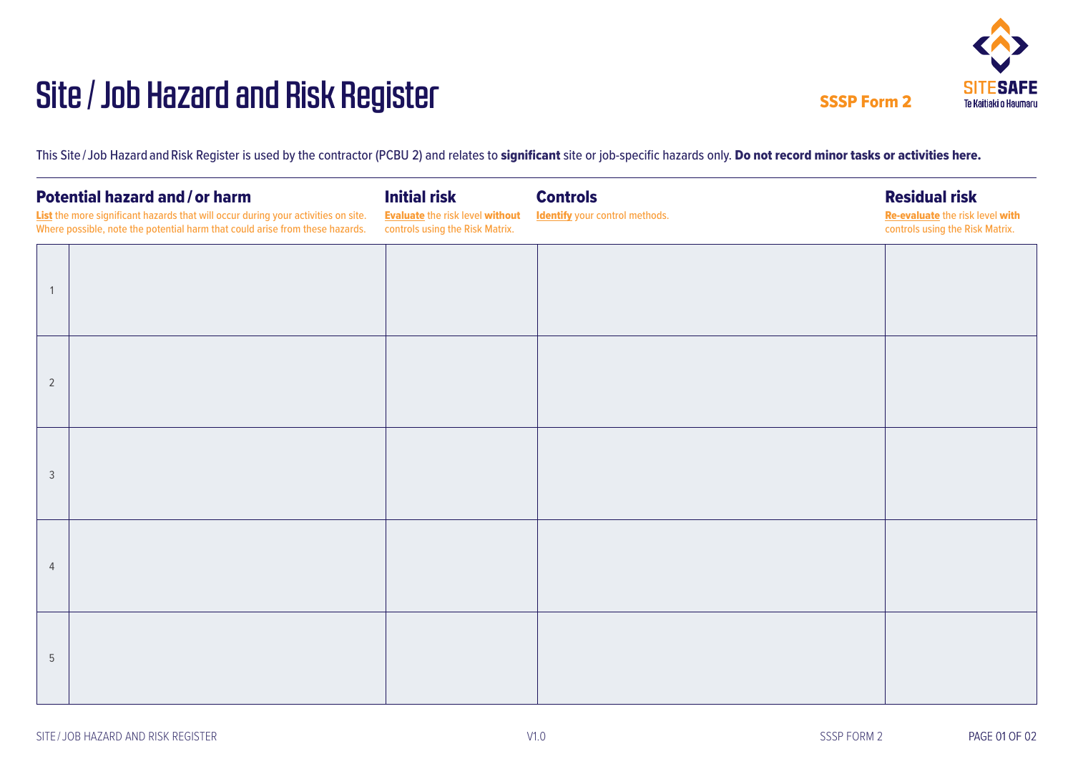## Site/Job Hazard and Risk Register



SSSP Form 2

This Site/Job Hazardand Risk Register is used by the contractor (PCBU 2) and relates to significant site or job-specific hazards only. Do not record minor tasks or activities here.

| <b>Potential hazard and/or harm</b><br>List the more significant hazards that will occur during your activities on site.<br>Where possible, note the potential harm that could arise from these hazards. |  | <b>Initial risk</b><br><b>Evaluate the risk level without</b><br>controls using the Risk Matrix. | <b>Controls</b><br><b>Identify</b> your control methods. | <b>Residual risk</b><br>Re-evaluate the risk level with<br>controls using the Risk Matrix. |
|----------------------------------------------------------------------------------------------------------------------------------------------------------------------------------------------------------|--|--------------------------------------------------------------------------------------------------|----------------------------------------------------------|--------------------------------------------------------------------------------------------|
|                                                                                                                                                                                                          |  |                                                                                                  |                                                          |                                                                                            |
| $\overline{2}$                                                                                                                                                                                           |  |                                                                                                  |                                                          |                                                                                            |
|                                                                                                                                                                                                          |  |                                                                                                  |                                                          |                                                                                            |
| 3                                                                                                                                                                                                        |  |                                                                                                  |                                                          |                                                                                            |
| $\overline{4}$                                                                                                                                                                                           |  |                                                                                                  |                                                          |                                                                                            |
| 5                                                                                                                                                                                                        |  |                                                                                                  |                                                          |                                                                                            |

V1.0